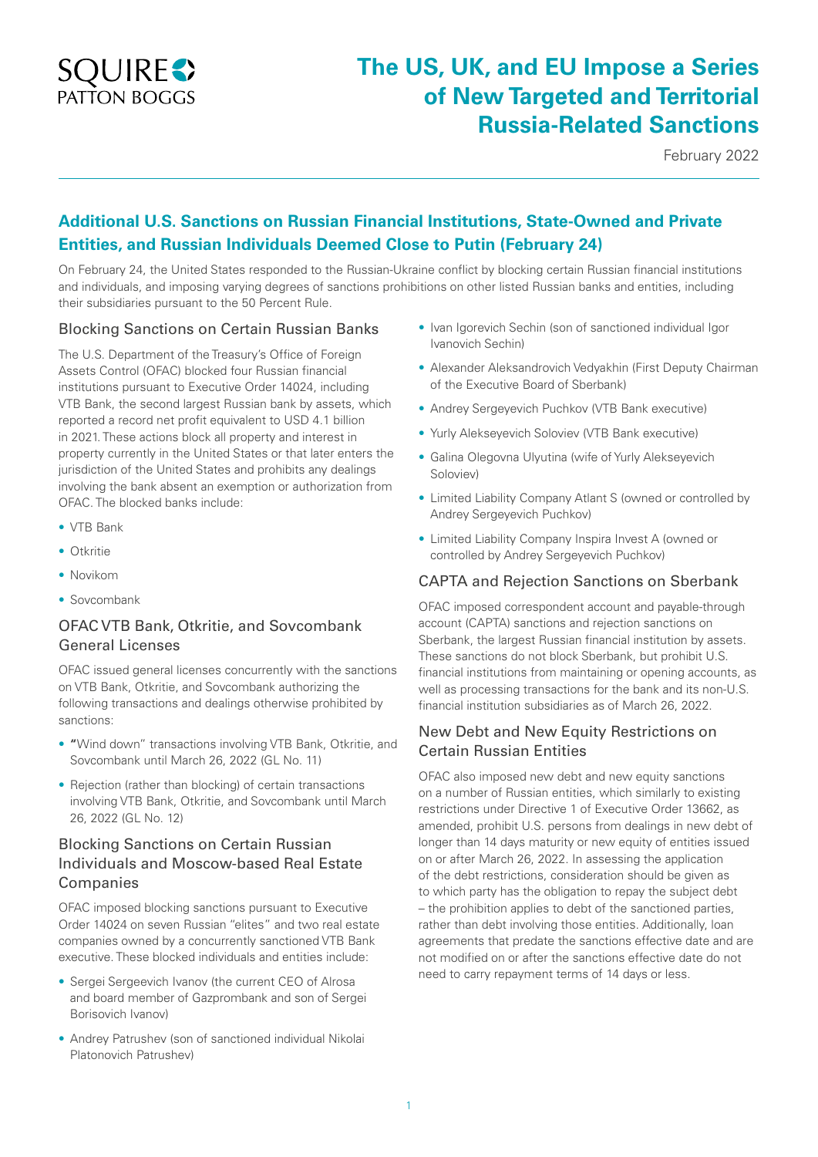

# **The US, UK, and EU Impose a Series of New Targeted and Territorial Russia-Related Sanctions**

February 2022

## **Additional U.S. Sanctions on Russian Financial Institutions, State-Owned and Private Entities, and Russian Individuals Deemed Close to Putin (February 24)**

On February 24, the United States responded to the Russian-Ukraine conflict by blocking certain Russian financial institutions and individuals, and imposing varying degrees of sanctions prohibitions on other listed Russian banks and entities, including their subsidiaries pursuant to the 50 Percent Rule.

#### Blocking Sanctions on Certain Russian Banks

The U.S. Department of the Treasury's Office of Foreign Assets Control (OFAC) blocked four Russian financial institutions pursuant to Executive Order 14024, including VTB Bank, the second largest Russian bank by assets, which reported a record net profit equivalent to USD 4.1 billion in 2021. These actions block all property and interest in property currently in the United States or that later enters the jurisdiction of the United States and prohibits any dealings involving the bank absent an exemption or authorization from OFAC. The blocked banks include:

- VTB Bank
- Otkritie
- Novikom
- Sovcombank

#### OFAC VTB Bank, Otkritie, and Sovcombank General Licenses

OFAC issued general licenses concurrently with the sanctions on VTB Bank, Otkritie, and Sovcombank authorizing the following transactions and dealings otherwise prohibited by sanctions:

- **"**Wind down" transactions involving VTB Bank, Otkritie, and Sovcombank until March 26, 2022 (GL No. 11)
- Rejection (rather than blocking) of certain transactions involving VTB Bank, Otkritie, and Sovcombank until March 26, 2022 (GL No. 12)

#### Blocking Sanctions on Certain Russian Individuals and Moscow-based Real Estate Companies

OFAC imposed blocking sanctions pursuant to Executive Order 14024 on seven Russian "elites" and two real estate companies owned by a concurrently sanctioned VTB Bank executive. These blocked individuals and entities include:

- Sergei Sergeevich Ivanov (the current CEO of Alrosa and board member of Gazprombank and son of Sergei Borisovich Ivanov)
- Andrey Patrushev (son of sanctioned individual Nikolai Platonovich Patrushev)
- Ivan Igorevich Sechin (son of sanctioned individual Igor Ivanovich Sechin)
- Alexander Aleksandrovich Vedyakhin (First Deputy Chairman of the Executive Board of Sberbank)
- Andrey Sergeyevich Puchkov (VTB Bank executive)
- Yurly Alekseyevich Soloviev (VTB Bank executive)
- Galina Olegovna Ulyutina (wife of Yurly Alekseyevich Soloviev)
- Limited Liability Company Atlant S (owned or controlled by Andrey Sergeyevich Puchkov)
- Limited Liability Company Inspira Invest A (owned or controlled by Andrey Sergeyevich Puchkov)

## CAPTA and Rejection Sanctions on Sberbank

OFAC imposed correspondent account and payable-through account (CAPTA) sanctions and rejection sanctions on Sberbank, the largest Russian financial institution by assets. These sanctions do not block Sberbank, but prohibit U.S. financial institutions from maintaining or opening accounts, as well as processing transactions for the bank and its non-U.S. financial institution subsidiaries as of March 26, 2022.

#### New Debt and New Equity Restrictions on Certain Russian Entities

OFAC also imposed new debt and new equity sanctions on a number of Russian entities, which similarly to existing restrictions under Directive 1 of Executive Order 13662, as amended, prohibit U.S. persons from dealings in new debt of longer than 14 days maturity or new equity of entities issued on or after March 26, 2022. In assessing the application of the debt restrictions, consideration should be given as to which party has the obligation to repay the subject debt – the prohibition applies to debt of the sanctioned parties, rather than debt involving those entities. Additionally, loan agreements that predate the sanctions effective date and are not modified on or after the sanctions effective date do not need to carry repayment terms of 14 days or less.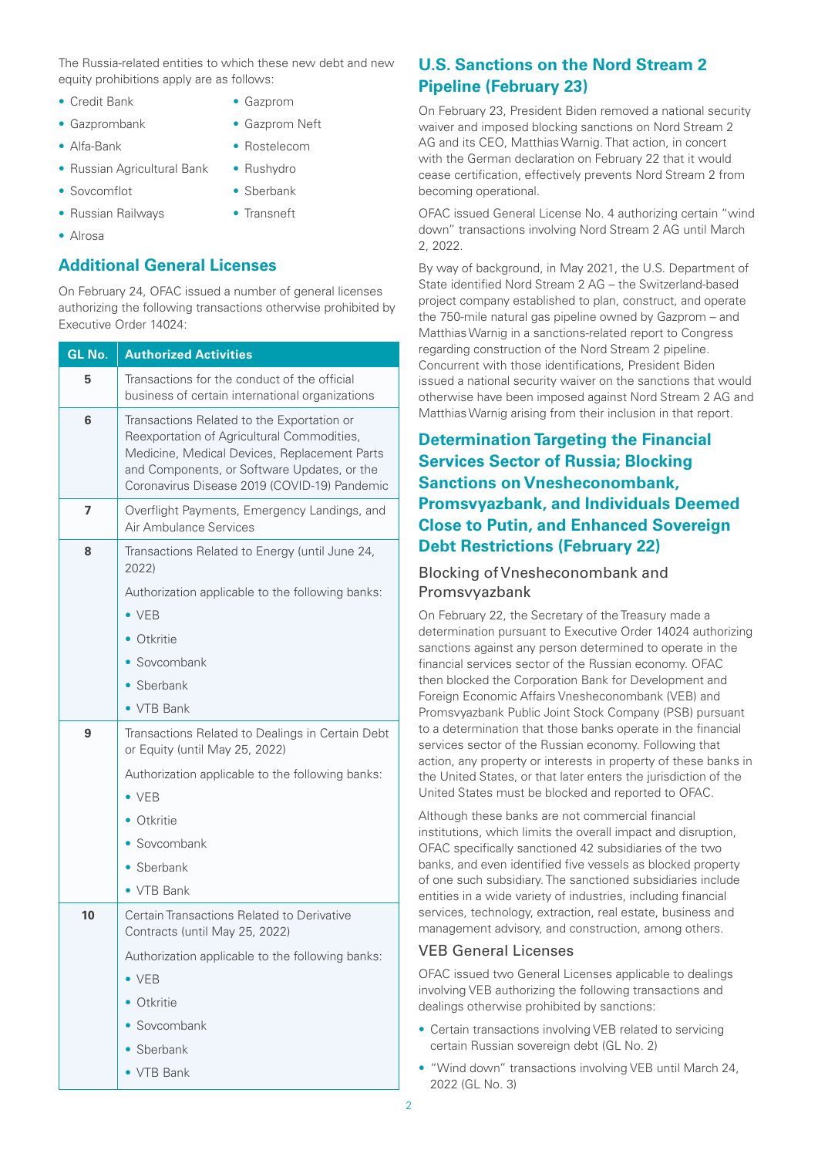The Russia-related entities to which these new debt and new equity prohibitions apply are as follows:

> • Gazprom • Gazprom Neft • Rostelecom • Rushydro

- Credit Bank
- Gazprombank
- Alfa-Bank

• Sovcomflot

• Russian Railways

- Russian Agricultural Bank
	- Sberbank
		- Transneft
- Alrosa

### **Additional General Licenses**

On February 24, OFAC issued a number of general licenses authorizing the following transactions otherwise prohibited by Executive Order 14024:

| GL No. | <b>Authorized Activities</b>                                                                                                                                                                                                            |
|--------|-----------------------------------------------------------------------------------------------------------------------------------------------------------------------------------------------------------------------------------------|
| 5      | Transactions for the conduct of the official<br>business of certain international organizations                                                                                                                                         |
| 6      | Transactions Related to the Exportation or<br>Reexportation of Agricultural Commodities,<br>Medicine, Medical Devices, Replacement Parts<br>and Components, or Software Updates, or the<br>Coronavirus Disease 2019 (COVID-19) Pandemic |
| 7      | Overflight Payments, Emergency Landings, and<br>Air Ambulance Services                                                                                                                                                                  |
| 8      | Transactions Related to Energy (until June 24,<br>2022)                                                                                                                                                                                 |
|        | Authorization applicable to the following banks:<br>$\bullet$ VEB                                                                                                                                                                       |
|        | Otkritie                                                                                                                                                                                                                                |
|        | Sovcombank                                                                                                                                                                                                                              |
|        | • Sberbank                                                                                                                                                                                                                              |
|        | • VTR Bank                                                                                                                                                                                                                              |
| 9      | Transactions Related to Dealings in Certain Debt<br>or Equity (until May 25, 2022)                                                                                                                                                      |
|        | Authorization applicable to the following banks:                                                                                                                                                                                        |
|        | $\bullet$ VEB                                                                                                                                                                                                                           |
|        | Otkritie                                                                                                                                                                                                                                |
|        | • Sovcombank                                                                                                                                                                                                                            |
|        | • Sberbank                                                                                                                                                                                                                              |
|        | • VTB Bank                                                                                                                                                                                                                              |
| 10     | Certain Transactions Related to Derivative<br>Contracts (until May 25, 2022)                                                                                                                                                            |
|        | Authorization applicable to the following banks:                                                                                                                                                                                        |
|        | $\bullet$ VEB                                                                                                                                                                                                                           |
|        | Otkritie                                                                                                                                                                                                                                |
|        | $\bullet$ Sovcombank                                                                                                                                                                                                                    |
|        | • Sherbank                                                                                                                                                                                                                              |
|        | $\bullet$ VTB Bank                                                                                                                                                                                                                      |

## **U.S. Sanctions on the Nord Stream 2 Pipeline (February 23)**

On February 23, President Biden removed a national security waiver and imposed blocking sanctions on Nord Stream 2 AG and its CEO, Matthias Warnig. That action, in concert with the German declaration on February 22 that it would cease certification, effectively prevents Nord Stream 2 from becoming operational.

OFAC issued General License No. 4 authorizing certain "wind down" transactions involving Nord Stream 2 AG until March 2, 2022.

By way of background, in May 2021, the U.S. Department of State identified Nord Stream 2 AG – the Switzerland-based project company established to plan, construct, and operate the 750-mile natural gas pipeline owned by Gazprom – and Matthias Warnig in a sanctions-related report to Congress regarding construction of the Nord Stream 2 pipeline. Concurrent with those identifications, President Biden issued a national security waiver on the sanctions that would otherwise have been imposed against Nord Stream 2 AG and Matthias Warnig arising from their inclusion in that report.

## **Determination Targeting the Financial Services Sector of Russia; Blocking Sanctions on Vnesheconombank, Promsvyazbank, and Individuals Deemed Close to Putin, and Enhanced Sovereign Debt Restrictions (February 22)**

#### Blocking of Vnesheconombank and Promsvyazbank

On February 22, the Secretary of the Treasury made a determination pursuant to Executive Order 14024 authorizing sanctions against any person determined to operate in the financial services sector of the Russian economy. OFAC then blocked the Corporation Bank for Development and Foreign Economic Affairs Vnesheconombank (VEB) and Promsvyazbank Public Joint Stock Company (PSB) pursuant to a determination that those banks operate in the financial services sector of the Russian economy. Following that action, any property or interests in property of these banks in the United States, or that later enters the jurisdiction of the United States must be blocked and reported to OFAC.

Although these banks are not commercial financial institutions, which limits the overall impact and disruption, OFAC specifically sanctioned 42 subsidiaries of the two banks, and even identified five vessels as blocked property of one such subsidiary. The sanctioned subsidiaries include entities in a wide variety of industries, including financial services, technology, extraction, real estate, business and management advisory, and construction, among others.

#### VEB General Licenses

OFAC issued two General Licenses applicable to dealings involving VEB authorizing the following transactions and dealings otherwise prohibited by sanctions:

- Certain transactions involving VEB related to servicing certain Russian sovereign debt (GL No. 2)
- "Wind down" transactions involving VEB until March 24, 2022 (GL No. 3)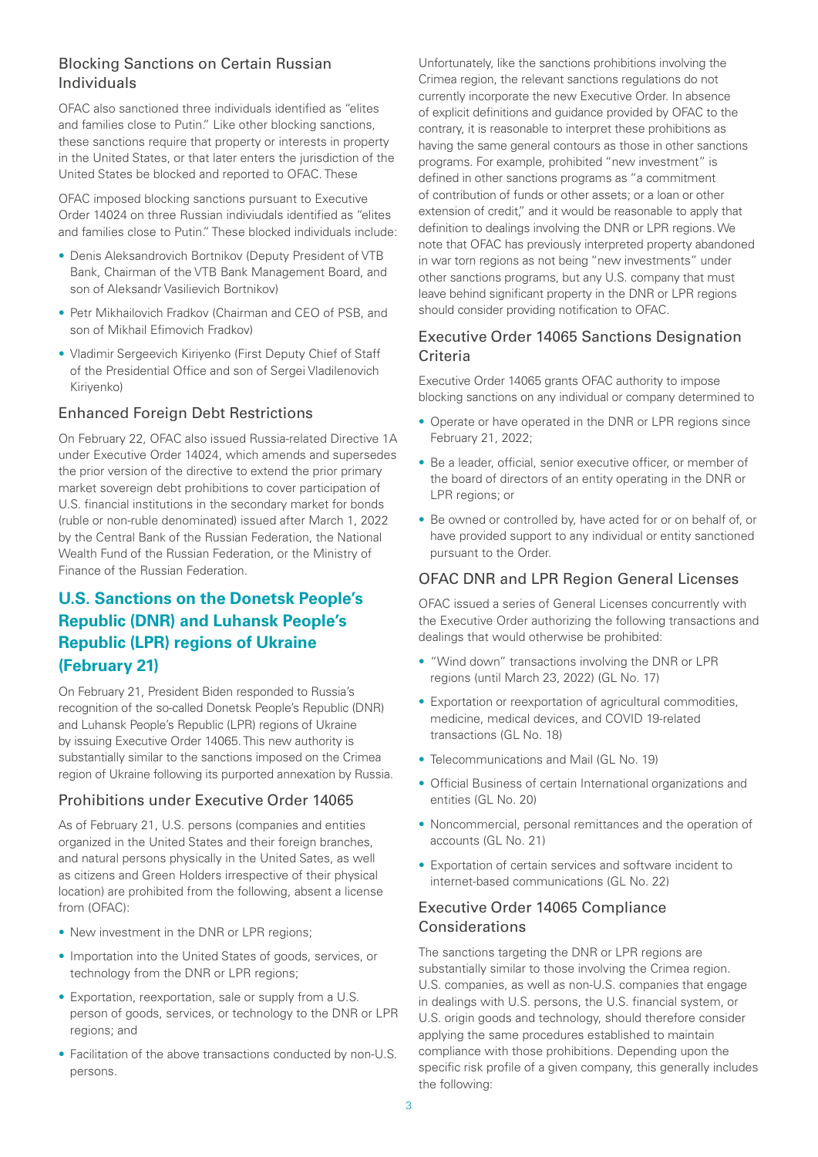## Blocking Sanctions on Certain Russian Individuals

OFAC also sanctioned three individuals identified as "elites and families close to Putin." Like other blocking sanctions, these sanctions require that property or interests in property in the United States, or that later enters the jurisdiction of the United States be blocked and reported to OFAC. These

OFAC imposed blocking sanctions pursuant to Executive Order 14024 on three Russian indiviudals identified as "elites and families close to Putin." These blocked individuals include:

- Denis Aleksandrovich Bortnikov (Deputy President of VTB Bank, Chairman of the VTB Bank Management Board, and son of Aleksandr Vasilievich Bortnikov)
- Petr Mikhailovich Fradkov (Chairman and CEO of PSB, and son of Mikhail Efimovich Fradkov)
- Vladimir Sergeevich Kiriyenko (First Deputy Chief of Staff of the Presidential Office and son of Sergei Vladilenovich Kiriyenko)

## Enhanced Foreign Debt Restrictions

On February 22, OFAC also issued Russia-related Directive 1A under Executive Order 14024, which amends and supersedes the prior version of the directive to extend the prior primary market sovereign debt prohibitions to cover participation of U.S. financial institutions in the secondary market for bonds (ruble or non-ruble denominated) issued after March 1, 2022 by the Central Bank of the Russian Federation, the National Wealth Fund of the Russian Federation, or the Ministry of Finance of the Russian Federation.

## **U.S. Sanctions on the Donetsk People's Republic (DNR) and Luhansk People's Republic (LPR) regions of Ukraine (February 21)**

On February 21, President Biden responded to Russia's recognition of the so-called Donetsk People's Republic (DNR) and Luhansk People's Republic (LPR) regions of Ukraine by issuing Executive Order 14065. This new authority is substantially similar to the sanctions imposed on the Crimea region of Ukraine following its purported annexation by Russia.

## Prohibitions under Executive Order 14065

As of February 21, U.S. persons (companies and entities organized in the United States and their foreign branches, and natural persons physically in the United Sates, as well as citizens and Green Holders irrespective of their physical location) are prohibited from the following, absent a license from (OFAC):

- New investment in the DNR or LPR regions;
- Importation into the United States of goods, services, or technology from the DNR or LPR regions;
- Exportation, reexportation, sale or supply from a U.S. person of goods, services, or technology to the DNR or LPR regions; and
- Facilitation of the above transactions conducted by non-U.S. persons.

Unfortunately, like the sanctions prohibitions involving the Crimea region, the relevant sanctions regulations do not currently incorporate the new Executive Order. In absence of explicit definitions and guidance provided by OFAC to the contrary, it is reasonable to interpret these prohibitions as having the same general contours as those in other sanctions programs. For example, prohibited "new investment" is defined in other sanctions programs as "a commitment of contribution of funds or other assets; or a loan or other extension of credit," and it would be reasonable to apply that definition to dealings involving the DNR or LPR regions. We note that OFAC has previously interpreted property abandoned in war torn regions as not being "new investments" under other sanctions programs, but any U.S. company that must leave behind significant property in the DNR or LPR regions should consider providing notification to OFAC.

#### Executive Order 14065 Sanctions Designation Criteria

Executive Order 14065 grants OFAC authority to impose blocking sanctions on any individual or company determined to

- Operate or have operated in the DNR or LPR regions since February 21, 2022;
- Be a leader, official, senior executive officer, or member of the board of directors of an entity operating in the DNR or LPR regions; or
- Be owned or controlled by, have acted for or on behalf of, or have provided support to any individual or entity sanctioned pursuant to the Order.

#### OFAC DNR and LPR Region General Licenses

OFAC issued a series of General Licenses concurrently with the Executive Order authorizing the following transactions and dealings that would otherwise be prohibited:

- "Wind down" transactions involving the DNR or LPR regions (until March 23, 2022) (GL No. 17)
- Exportation or reexportation of agricultural commodities, medicine, medical devices, and COVID 19-related transactions (GL No. 18)
- Telecommunications and Mail (GL No. 19)
- Official Business of certain International organizations and entities (GL No. 20)
- Noncommercial, personal remittances and the operation of accounts (GL No. 21)
- Exportation of certain services and software incident to internet-based communications (GL No. 22)

## Executive Order 14065 Compliance Considerations

The sanctions targeting the DNR or LPR regions are substantially similar to those involving the Crimea region. U.S. companies, as well as non-U.S. companies that engage in dealings with U.S. persons, the U.S. financial system, or U.S. origin goods and technology, should therefore consider applying the same procedures established to maintain compliance with those prohibitions. Depending upon the specific risk profile of a given company, this generally includes the following: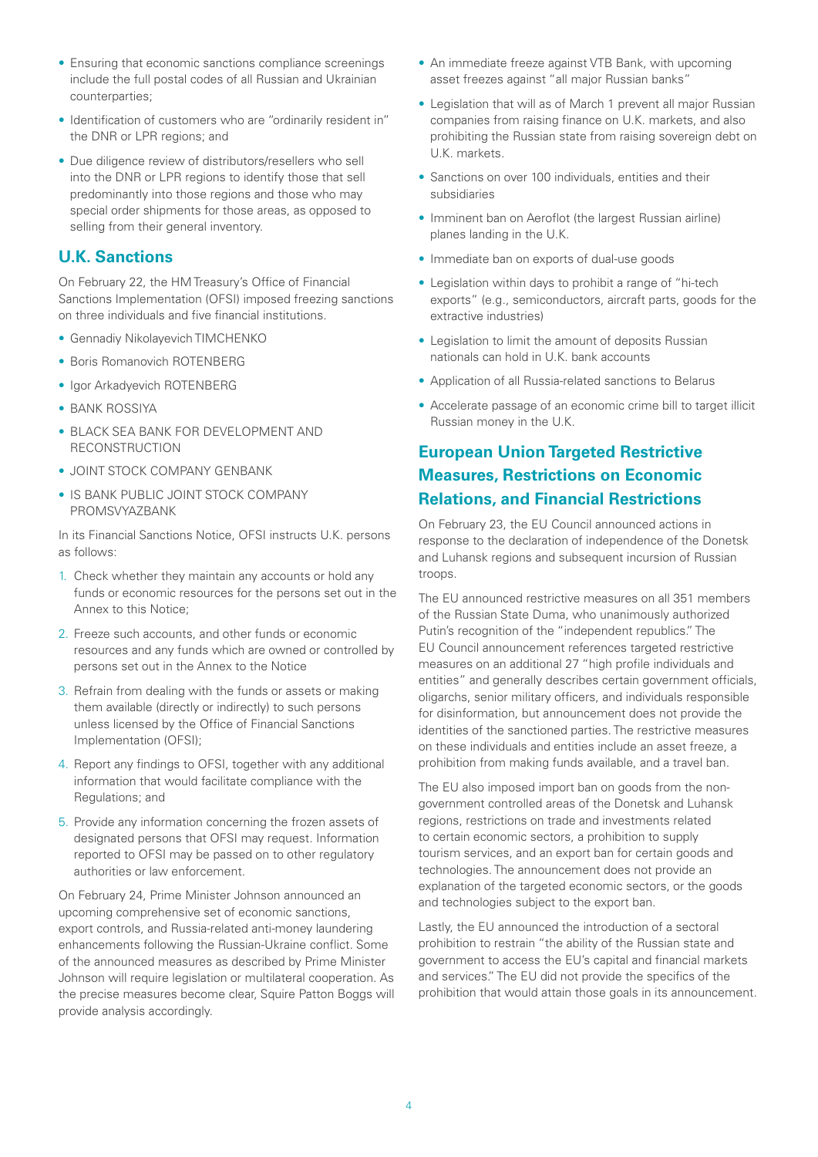- Ensuring that economic sanctions compliance screenings include the full postal codes of all Russian and Ukrainian counterparties;
- Identification of customers who are "ordinarily resident in" the DNR or LPR regions; and
- Due diligence review of distributors/resellers who sell into the DNR or LPR regions to identify those that sell predominantly into those regions and those who may special order shipments for those areas, as opposed to selling from their general inventory.

#### **U.K. Sanctions**

On February 22, the HM Treasury's Office of Financial Sanctions Implementation (OFSI) imposed freezing sanctions on three individuals and five financial institutions.

- Gennadiy Nikolayevich TIMCHENKO
- Boris Romanovich ROTENBERG
- Igor Arkadyevich ROTENBERG
- BANK ROSSIYA
- BLACK SEA BANK FOR DEVELOPMENT AND RECONSTRUCTION
- JOINT STOCK COMPANY GENBANK
- IS BANK PUBLIC JOINT STOCK COMPANY PROMSVYAZBANK

In its Financial Sanctions Notice, OFSI instructs U.K. persons as follows:

- 1. Check whether they maintain any accounts or hold any funds or economic resources for the persons set out in the Annex to this Notice;
- 2. Freeze such accounts, and other funds or economic resources and any funds which are owned or controlled by persons set out in the Annex to the Notice
- 3. Refrain from dealing with the funds or assets or making them available (directly or indirectly) to such persons unless licensed by the Office of Financial Sanctions Implementation (OFSI);
- 4. Report any findings to OFSI, together with any additional information that would facilitate compliance with the Regulations; and
- 5. Provide any information concerning the frozen assets of designated persons that OFSI may request. Information reported to OFSI may be passed on to other regulatory authorities or law enforcement.

On February 24, Prime Minister Johnson announced an upcoming comprehensive set of economic sanctions, export controls, and Russia-related anti-money laundering enhancements following the Russian-Ukraine conflict. Some of the announced measures as described by Prime Minister Johnson will require legislation or multilateral cooperation. As the precise measures become clear, Squire Patton Boggs will provide analysis accordingly.

- An immediate freeze against VTB Bank, with upcoming asset freezes against "all major Russian banks"
- Legislation that will as of March 1 prevent all major Russian companies from raising finance on U.K. markets, and also prohibiting the Russian state from raising sovereign debt on U.K. markets.
- Sanctions on over 100 individuals, entities and their subsidiaries
- Imminent ban on Aeroflot (the largest Russian airline) planes landing in the U.K.
- Immediate ban on exports of dual-use goods
- Legislation within days to prohibit a range of "hi-tech exports" (e.g., semiconductors, aircraft parts, goods for the extractive industries)
- Legislation to limit the amount of deposits Russian nationals can hold in U.K. bank accounts
- Application of all Russia-related sanctions to Belarus
- Accelerate passage of an economic crime bill to target illicit Russian money in the U.K.

## **European Union Targeted Restrictive Measures, Restrictions on Economic Relations, and Financial Restrictions**

On February 23, the EU Council announced actions in response to the declaration of independence of the Donetsk and Luhansk regions and subsequent incursion of Russian troops.

The EU announced restrictive measures on all 351 members of the Russian State Duma, who unanimously authorized Putin's recognition of the "independent republics." The EU Council announcement references targeted restrictive measures on an additional 27 "high profile individuals and entities" and generally describes certain government officials, oligarchs, senior military officers, and individuals responsible for disinformation, but announcement does not provide the identities of the sanctioned parties. The restrictive measures on these individuals and entities include an asset freeze, a prohibition from making funds available, and a travel ban.

The EU also imposed import ban on goods from the nongovernment controlled areas of the Donetsk and Luhansk regions, restrictions on trade and investments related to certain economic sectors, a prohibition to supply tourism services, and an export ban for certain goods and technologies. The announcement does not provide an explanation of the targeted economic sectors, or the goods and technologies subject to the export ban.

Lastly, the EU announced the introduction of a sectoral prohibition to restrain "the ability of the Russian state and government to access the EU's capital and financial markets and services." The EU did not provide the specifics of the prohibition that would attain those goals in its announcement.